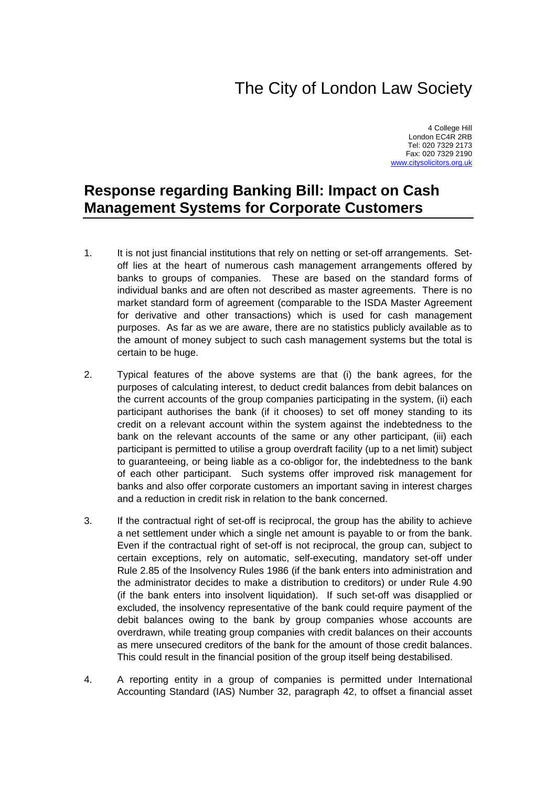## The City of London Law Society

4 College Hill London EC4R 2RB Tel: 020 7329 2173 Fax: 020 7329 2190 [www.citysolicitors.org.uk](http://www.citysolicitors.org.uk/)

## **Response regarding Banking Bill: Impact on Cash Management Systems for Corporate Customers**

- 1. It is not just financial institutions that rely on netting or set-off arrangements. Setoff lies at the heart of numerous cash management arrangements offered by banks to groups of companies. These are based on the standard forms of individual banks and are often not described as master agreements. There is no market standard form of agreement (comparable to the ISDA Master Agreement for derivative and other transactions) which is used for cash management purposes. As far as we are aware, there are no statistics publicly available as to the amount of money subject to such cash management systems but the total is certain to be huge.
- 2. Typical features of the above systems are that (i) the bank agrees, for the purposes of calculating interest, to deduct credit balances from debit balances on the current accounts of the group companies participating in the system, (ii) each participant authorises the bank (if it chooses) to set off money standing to its credit on a relevant account within the system against the indebtedness to the bank on the relevant accounts of the same or any other participant, (iii) each participant is permitted to utilise a group overdraft facility (up to a net limit) subject to guaranteeing, or being liable as a co-obligor for, the indebtedness to the bank of each other participant. Such systems offer improved risk management for banks and also offer corporate customers an important saving in interest charges and a reduction in credit risk in relation to the bank concerned.
- 3. If the contractual right of set-off is reciprocal, the group has the ability to achieve a net settlement under which a single net amount is payable to or from the bank. Even if the contractual right of set-off is not reciprocal, the group can, subject to certain exceptions, rely on automatic, self-executing, mandatory set-off under Rule 2.85 of the Insolvency Rules 1986 (if the bank enters into administration and the administrator decides to make a distribution to creditors) or under Rule 4.90 (if the bank enters into insolvent liquidation). If such set-off was disapplied or excluded, the insolvency representative of the bank could require payment of the debit balances owing to the bank by group companies whose accounts are overdrawn, while treating group companies with credit balances on their accounts as mere unsecured creditors of the bank for the amount of those credit balances. This could result in the financial position of the group itself being destabilised.
- 4. A reporting entity in a group of companies is permitted under International Accounting Standard (IAS) Number 32, paragraph 42, to offset a financial asset